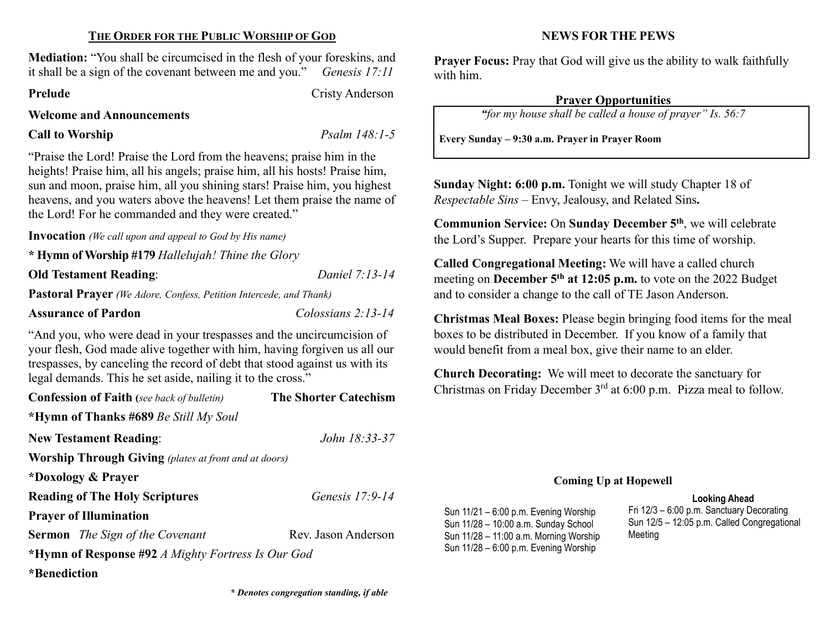### THE ORDER FOR THE PUBLIC WORSHIP OF GOD

Mediation: "You shall be circumcised in the flesh of your foreskins, and it shall be a sign of the covenant between me and you." Genesis 17:11

Prelude Cristy Anderson

Welcome and Announcements

# Call to Worship Psalm 148:1-5

"Praise the Lord! Praise the Lord from the heavens; praise him in the heights! Praise him, all his angels; praise him, all his hosts! Praise him, sun and moon, praise him, all you shining stars! Praise him, you highest heavens, and you waters above the heavens! Let them praise the name of the Lord! For he commanded and they were created."

Invocation (We call upon and appeal to God by His name)

\* Hymn of Worship #179 Hallelujah! Thine the Glory

Old Testament Reading: Daniel 7:13-14

Pastoral Prayer (We Adore, Confess, Petition Intercede, and Thank)

Assurance of Pardon Colossians 2:13-14

"And you, who were dead in your trespasses and the uncircumcision of your flesh, God made alive together with him, having forgiven us all our trespasses, by canceling the record of debt that stood against us with its legal demands. This he set aside, nailing it to the cross."

| <b>Confession of Faith</b> (see back of bulletin)            | <b>The Shorter Catechism</b> |  |  |  |
|--------------------------------------------------------------|------------------------------|--|--|--|
| <b>*Hymn of Thanks #689</b> Be Still My Soul                 |                              |  |  |  |
| <b>New Testament Reading:</b>                                | John 18:33-37                |  |  |  |
| <b>Worship Through Giving</b> (plates at front and at doors) |                              |  |  |  |
| *Doxology & Prayer                                           |                              |  |  |  |
| <b>Reading of The Holy Scriptures</b>                        | Genesis $17:9-14$            |  |  |  |
| <b>Prayer of Illumination</b>                                |                              |  |  |  |
| <b>Sermon</b> The Sign of the Covenant                       | Rev. Jason Anderson          |  |  |  |
| *Hymn of Response #92 A Mighty Fortress Is Our God           |                              |  |  |  |
| *Benediction                                                 |                              |  |  |  |

NEWS FOR THE PEWS

Prayer Focus: Pray that God will give us the ability to walk faithfully with him.

#### Prayer Opportunities

"for my house shall be called a house of prayer" Is. 56:7

Every Sunday – 9:30 a.m. Prayer in Prayer Room

Sunday Night: 6:00 p.m. Tonight we will study Chapter 18 of Respectable Sins – Envy, Jealousy, and Related Sins.

Communion Service: On Sunday December 5<sup>th</sup>, we will celebrate the Lord's Supper. Prepare your hearts for this time of worship.

Called Congregational Meeting: We will have a called church meeting on **December 5<sup>th</sup> at 12:05 p.m.** to vote on the 2022 Budget and to consider a change to the call of TE Jason Anderson.

Christmas Meal Boxes: Please begin bringing food items for the meal boxes to be distributed in December. If you know of a family that would benefit from a meal box, give their name to an elder.

Church Decorating: We will meet to decorate the sanctuary for Christmas on Friday December  $3<sup>rd</sup>$  at 6:00 p.m. Pizza meal to follow.

#### Coming Up at Hopewell

#### Looking Ahead

Sun 11/21 – 6:00 p.m. Evening Worship Sun 11/28 – 10:00 a.m. Sunday School Sun 11/28 – 11:00 a.m. Morning Worship Sun 11/28 – 6:00 p.m. Evening Worship

Fri 12/3 – 6:00 p.m. Sanctuary Decorating Sun 12/5 – 12:05 p.m. Called Congregational Meeting

\* Denotes congregation standing, if able